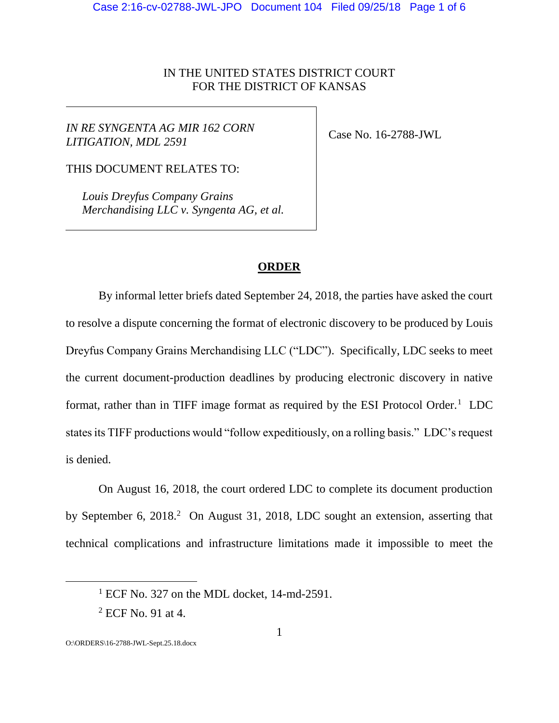# IN THE UNITED STATES DISTRICT COURT FOR THE DISTRICT OF KANSAS

 $\overline{\phantom{a}}$ 

*IN RE SYNGENTA AG MIR 162 CORN LITIGATION, MDL 2591*

Case No. 16-2788-JWL

THIS DOCUMENT RELATES TO:

*Louis Dreyfus Company Grains Merchandising LLC v. Syngenta AG, et al.*

# **ORDER**

By informal letter briefs dated September 24, 2018, the parties have asked the court to resolve a dispute concerning the format of electronic discovery to be produced by Louis Dreyfus Company Grains Merchandising LLC ("LDC"). Specifically, LDC seeks to meet the current document-production deadlines by producing electronic discovery in native format, rather than in TIFF image format as required by the ESI Protocol Order.<sup>1</sup> LDC states its TIFF productions would "follow expeditiously, on a rolling basis." LDC's request is denied.

On August 16, 2018, the court ordered LDC to complete its document production by September 6, 2018.<sup>2</sup> On August 31, 2018, LDC sought an extension, asserting that technical complications and infrastructure limitations made it impossible to meet the

 $\overline{a}$ 

 $1$  ECF No. 327 on the MDL docket, 14-md-2591.

<sup>2</sup> ECF No. 91 at 4.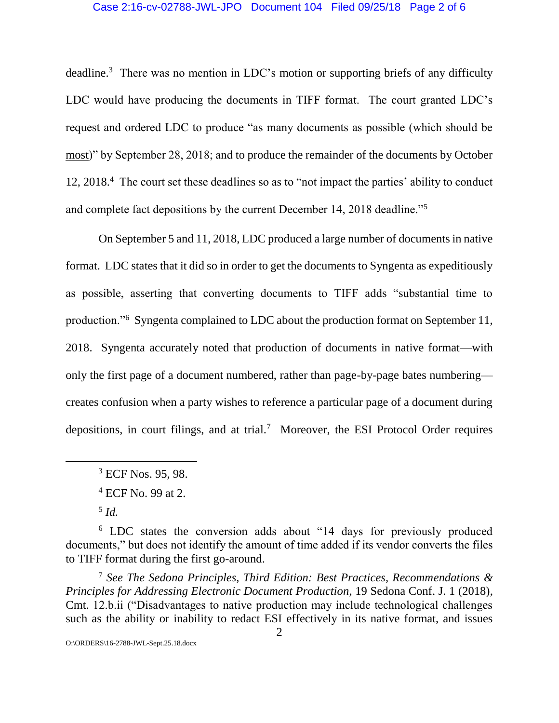### Case 2:16-cv-02788-JWL-JPO Document 104 Filed 09/25/18 Page 2 of 6

deadline.<sup>3</sup> There was no mention in LDC's motion or supporting briefs of any difficulty LDC would have producing the documents in TIFF format. The court granted LDC's request and ordered LDC to produce "as many documents as possible (which should be most)" by September 28, 2018; and to produce the remainder of the documents by October 12, 2018.<sup>4</sup> The court set these deadlines so as to "not impact the parties' ability to conduct and complete fact depositions by the current December 14, 2018 deadline."<sup>5</sup>

On September 5 and 11, 2018, LDC produced a large number of documents in native format. LDC states that it did so in order to get the documents to Syngenta as expeditiously as possible, asserting that converting documents to TIFF adds "substantial time to production."<sup>6</sup> Syngenta complained to LDC about the production format on September 11, 2018. Syngenta accurately noted that production of documents in native format—with only the first page of a document numbered, rather than page-by-page bates numbering creates confusion when a party wishes to reference a particular page of a document during depositions, in court filings, and at trial.<sup>7</sup> Moreover, the ESI Protocol Order requires

<sup>3</sup> ECF Nos. 95, 98.

 $\overline{a}$ 

<sup>7</sup> *See The Sedona Principles, Third Edition: Best Practices, Recommendations & Principles for Addressing Electronic Document Production*, 19 Sedona Conf. J. 1 (2018), Cmt. 12.b.ii ("Disadvantages to native production may include technological challenges such as the ability or inability to redact ESI effectively in its native format, and issues

O:\ORDERS\16-2788-JWL-Sept.25.18.docx

<sup>4</sup> ECF No. 99 at 2.

<sup>5</sup> *Id.*

<sup>6</sup> LDC states the conversion adds about "14 days for previously produced documents," but does not identify the amount of time added if its vendor converts the files to TIFF format during the first go-around.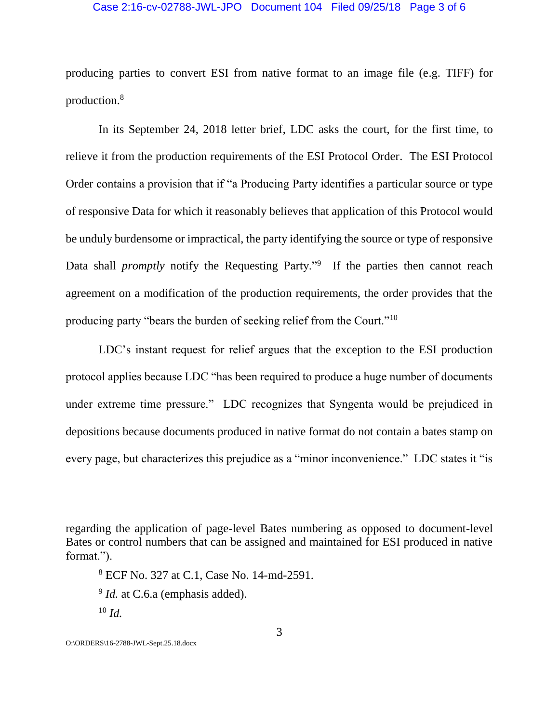### Case 2:16-cv-02788-JWL-JPO Document 104 Filed 09/25/18 Page 3 of 6

producing parties to convert ESI from native format to an image file (e.g. TIFF) for production.<sup>8</sup>

In its September 24, 2018 letter brief, LDC asks the court, for the first time, to relieve it from the production requirements of the ESI Protocol Order. The ESI Protocol Order contains a provision that if "a Producing Party identifies a particular source or type of responsive Data for which it reasonably believes that application of this Protocol would be unduly burdensome or impractical, the party identifying the source or type of responsive Data shall *promptly* notify the Requesting Party."<sup>9</sup> If the parties then cannot reach agreement on a modification of the production requirements, the order provides that the producing party "bears the burden of seeking relief from the Court."<sup>10</sup>

LDC's instant request for relief argues that the exception to the ESI production protocol applies because LDC "has been required to produce a huge number of documents under extreme time pressure." LDC recognizes that Syngenta would be prejudiced in depositions because documents produced in native format do not contain a bates stamp on every page, but characterizes this prejudice as a "minor inconvenience." LDC states it "is

regarding the application of page-level Bates numbering as opposed to document-level Bates or control numbers that can be assigned and maintained for ESI produced in native format.").

<sup>8</sup> ECF No. 327 at C.1, Case No. 14-md-2591.

<sup>&</sup>lt;sup>9</sup> *Id.* at C.6.a (emphasis added).

<sup>10</sup> *Id.*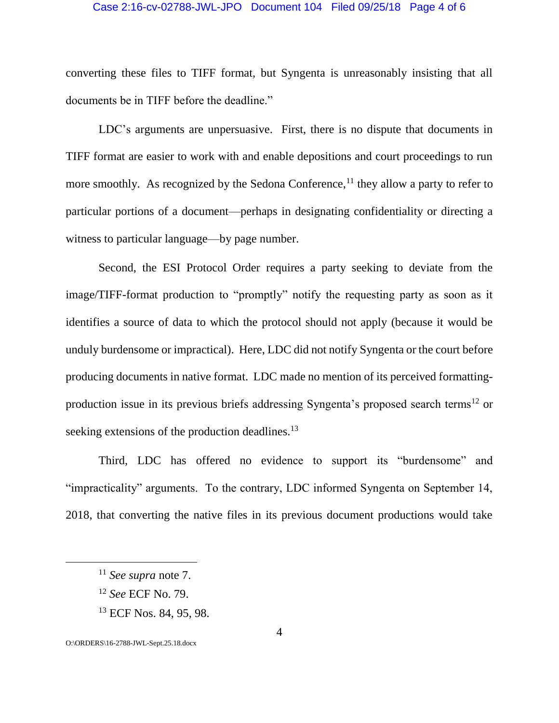### Case 2:16-cv-02788-JWL-JPO Document 104 Filed 09/25/18 Page 4 of 6

converting these files to TIFF format, but Syngenta is unreasonably insisting that all documents be in TIFF before the deadline."

LDC's arguments are unpersuasive. First, there is no dispute that documents in TIFF format are easier to work with and enable depositions and court proceedings to run more smoothly. As recognized by the Sedona Conference,<sup>11</sup> they allow a party to refer to particular portions of a document—perhaps in designating confidentiality or directing a witness to particular language—by page number.

Second, the ESI Protocol Order requires a party seeking to deviate from the image/TIFF-format production to "promptly" notify the requesting party as soon as it identifies a source of data to which the protocol should not apply (because it would be unduly burdensome or impractical). Here, LDC did not notify Syngenta or the court before producing documents in native format. LDC made no mention of its perceived formattingproduction issue in its previous briefs addressing Syngenta's proposed search terms<sup>12</sup> or seeking extensions of the production deadlines.<sup>13</sup>

Third, LDC has offered no evidence to support its "burdensome" and "impracticality" arguments. To the contrary, LDC informed Syngenta on September 14, 2018, that converting the native files in its previous document productions would take

- <sup>12</sup> *See* ECF No. 79.
- <sup>13</sup> ECF Nos. 84, 95, 98.

O:\ORDERS\16-2788-JWL-Sept.25.18.docx

 $\overline{a}$ 

<sup>11</sup> *See supra* note 7.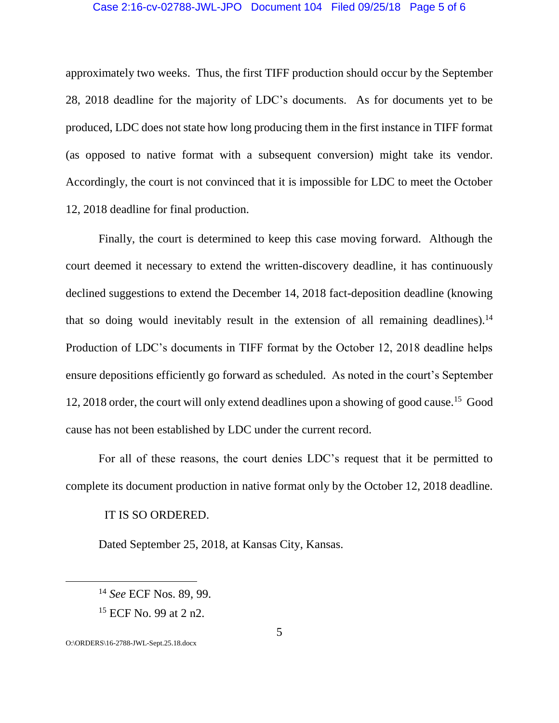#### Case 2:16-cv-02788-JWL-JPO Document 104 Filed 09/25/18 Page 5 of 6

approximately two weeks. Thus, the first TIFF production should occur by the September 28, 2018 deadline for the majority of LDC's documents. As for documents yet to be produced, LDC does not state how long producing them in the first instance in TIFF format (as opposed to native format with a subsequent conversion) might take its vendor. Accordingly, the court is not convinced that it is impossible for LDC to meet the October 12, 2018 deadline for final production.

Finally, the court is determined to keep this case moving forward. Although the court deemed it necessary to extend the written-discovery deadline, it has continuously declined suggestions to extend the December 14, 2018 fact-deposition deadline (knowing that so doing would inevitably result in the extension of all remaining deadlines).<sup>14</sup> Production of LDC's documents in TIFF format by the October 12, 2018 deadline helps ensure depositions efficiently go forward as scheduled. As noted in the court's September 12, 2018 order, the court will only extend deadlines upon a showing of good cause.<sup>15</sup> Good cause has not been established by LDC under the current record.

For all of these reasons, the court denies LDC's request that it be permitted to complete its document production in native format only by the October 12, 2018 deadline.

### IT IS SO ORDERED.

Dated September 25, 2018, at Kansas City, Kansas.

 $\overline{a}$ 

<sup>14</sup> *See* ECF Nos. 89, 99.

<sup>15</sup> ECF No. 99 at 2 n2.

O:\ORDERS\16-2788-JWL-Sept.25.18.docx